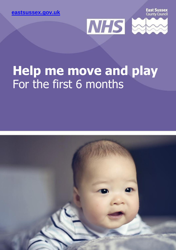**[eastsussex.gov.uk](http://eastsussex.gov.uk/)**

**East Sussex** County Council



## **Help me move and play** For the first 6 months

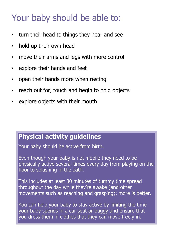### Your baby should be able to:

- turn their head to things they hear and see
- hold up their own head
- move their arms and legs with more control
- explore their hands and feet
- open their hands more when resting
- reach out for, touch and begin to hold objects
- explore objects with their mouth

### **Physical activity guidelines**

Your baby should be active from birth.

Even though your baby is not mobile they need to be physically active several times every day from playing on the floor to splashing in the bath.

This includes at least 30 minutes of tummy time spread throughout the day while they're awake (and other movements such as reaching and grasping); more is better.

You can help your baby to stay active by limiting the time your baby spends in a car seat or buggy and ensure that you dress them in clothes that they can move freely in.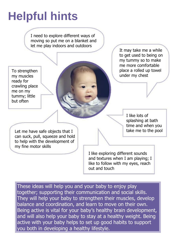# **Helpful hints**

I need to explore different ways of moving so put me on a blanket and let me play indoors and outdoors

To strengthen my muscles ready for crawling place me on my tummy; little but often

It may take me a while to get used to being on my tummy so to make me more comfortable place a rolled up towel under my chest

> I like lots of splashing at bath time and when you take me to the pool

Let me have safe objects that I can suck, pull, squeeze and hold to help with the development of my fine motor skills

> I like exploring different sounds and textures when I am playing; I like to follow with my eyes, reach out and touch

These ideas will help you and your baby to enjoy play together; supporting their communication and social skills. They will help your baby to strengthen their muscles, develop balance and coordination, and learn to move on their own. Being active is vital for your baby's healthy brain development, and will also help your baby to stay at a healthy weight. Being active with your baby helps to set up good habits to support you both in developing a healthy lifestyle.